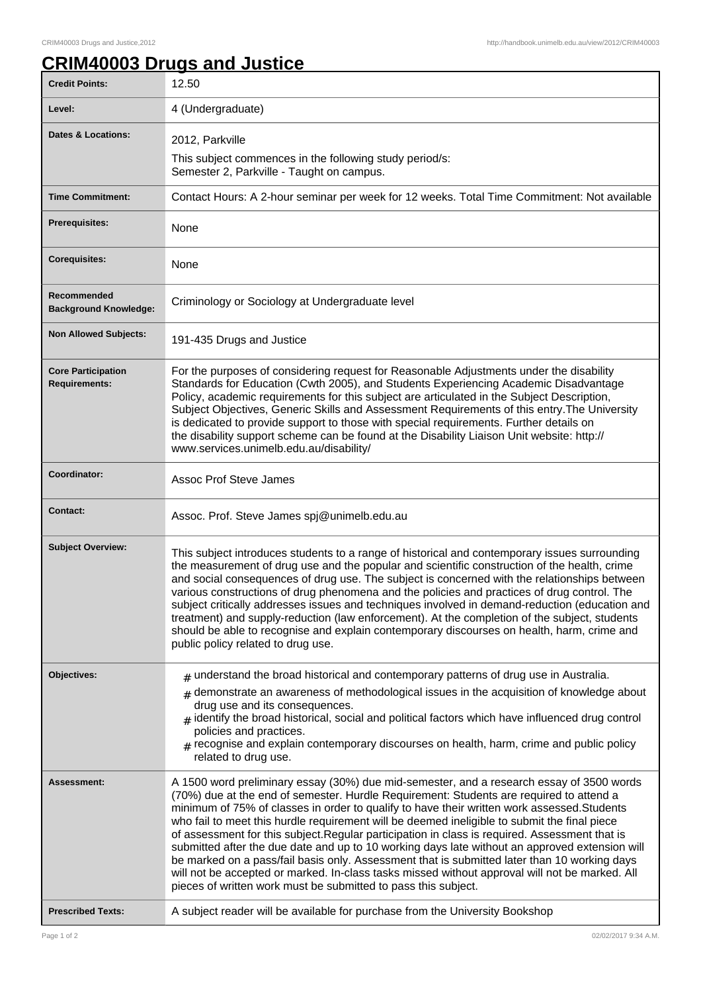## **CRIM40003 Drugs and Justice**

| <b>Credit Points:</b>                             | 12.50                                                                                                                                                                                                                                                                                                                                                                                                                                                                                                                                                                                                                                                                                                                                                                                                                                                      |
|---------------------------------------------------|------------------------------------------------------------------------------------------------------------------------------------------------------------------------------------------------------------------------------------------------------------------------------------------------------------------------------------------------------------------------------------------------------------------------------------------------------------------------------------------------------------------------------------------------------------------------------------------------------------------------------------------------------------------------------------------------------------------------------------------------------------------------------------------------------------------------------------------------------------|
| Level:                                            | 4 (Undergraduate)                                                                                                                                                                                                                                                                                                                                                                                                                                                                                                                                                                                                                                                                                                                                                                                                                                          |
| <b>Dates &amp; Locations:</b>                     | 2012, Parkville                                                                                                                                                                                                                                                                                                                                                                                                                                                                                                                                                                                                                                                                                                                                                                                                                                            |
|                                                   | This subject commences in the following study period/s:<br>Semester 2, Parkville - Taught on campus.                                                                                                                                                                                                                                                                                                                                                                                                                                                                                                                                                                                                                                                                                                                                                       |
| <b>Time Commitment:</b>                           | Contact Hours: A 2-hour seminar per week for 12 weeks. Total Time Commitment: Not available                                                                                                                                                                                                                                                                                                                                                                                                                                                                                                                                                                                                                                                                                                                                                                |
| <b>Prerequisites:</b>                             | None                                                                                                                                                                                                                                                                                                                                                                                                                                                                                                                                                                                                                                                                                                                                                                                                                                                       |
| <b>Corequisites:</b>                              | None                                                                                                                                                                                                                                                                                                                                                                                                                                                                                                                                                                                                                                                                                                                                                                                                                                                       |
| Recommended<br><b>Background Knowledge:</b>       | Criminology or Sociology at Undergraduate level                                                                                                                                                                                                                                                                                                                                                                                                                                                                                                                                                                                                                                                                                                                                                                                                            |
| <b>Non Allowed Subjects:</b>                      | 191-435 Drugs and Justice                                                                                                                                                                                                                                                                                                                                                                                                                                                                                                                                                                                                                                                                                                                                                                                                                                  |
| <b>Core Participation</b><br><b>Requirements:</b> | For the purposes of considering request for Reasonable Adjustments under the disability<br>Standards for Education (Cwth 2005), and Students Experiencing Academic Disadvantage<br>Policy, academic requirements for this subject are articulated in the Subject Description,<br>Subject Objectives, Generic Skills and Assessment Requirements of this entry. The University<br>is dedicated to provide support to those with special requirements. Further details on<br>the disability support scheme can be found at the Disability Liaison Unit website: http://<br>www.services.unimelb.edu.au/disability/                                                                                                                                                                                                                                           |
| Coordinator:                                      | <b>Assoc Prof Steve James</b>                                                                                                                                                                                                                                                                                                                                                                                                                                                                                                                                                                                                                                                                                                                                                                                                                              |
| <b>Contact:</b>                                   | Assoc. Prof. Steve James spj@unimelb.edu.au                                                                                                                                                                                                                                                                                                                                                                                                                                                                                                                                                                                                                                                                                                                                                                                                                |
| <b>Subject Overview:</b>                          | This subject introduces students to a range of historical and contemporary issues surrounding<br>the measurement of drug use and the popular and scientific construction of the health, crime<br>and social consequences of drug use. The subject is concerned with the relationships between<br>various constructions of drug phenomena and the policies and practices of drug control. The<br>subject critically addresses issues and techniques involved in demand-reduction (education and<br>treatment) and supply-reduction (law enforcement). At the completion of the subject, students<br>should be able to recognise and explain contemporary discourses on health, harm, crime and<br>public policy related to drug use.                                                                                                                        |
| Objectives:                                       | $_{\text{\#}}$ understand the broad historical and contemporary patterns of drug use in Australia.<br>$*$ demonstrate an awareness of methodological issues in the acquisition of knowledge about<br>drug use and its consequences.<br>$_{\#}$ identify the broad historical, social and political factors which have influenced drug control<br>policies and practices.<br>$#$ recognise and explain contemporary discourses on health, harm, crime and public policy<br>related to drug use.                                                                                                                                                                                                                                                                                                                                                             |
| <b>Assessment:</b>                                | A 1500 word preliminary essay (30%) due mid-semester, and a research essay of 3500 words<br>(70%) due at the end of semester. Hurdle Requirement: Students are required to attend a<br>minimum of 75% of classes in order to qualify to have their written work assessed. Students<br>who fail to meet this hurdle requirement will be deemed ineligible to submit the final piece<br>of assessment for this subject. Regular participation in class is required. Assessment that is<br>submitted after the due date and up to 10 working days late without an approved extension will<br>be marked on a pass/fail basis only. Assessment that is submitted later than 10 working days<br>will not be accepted or marked. In-class tasks missed without approval will not be marked. All<br>pieces of written work must be submitted to pass this subject. |
| <b>Prescribed Texts:</b>                          | A subject reader will be available for purchase from the University Bookshop                                                                                                                                                                                                                                                                                                                                                                                                                                                                                                                                                                                                                                                                                                                                                                               |